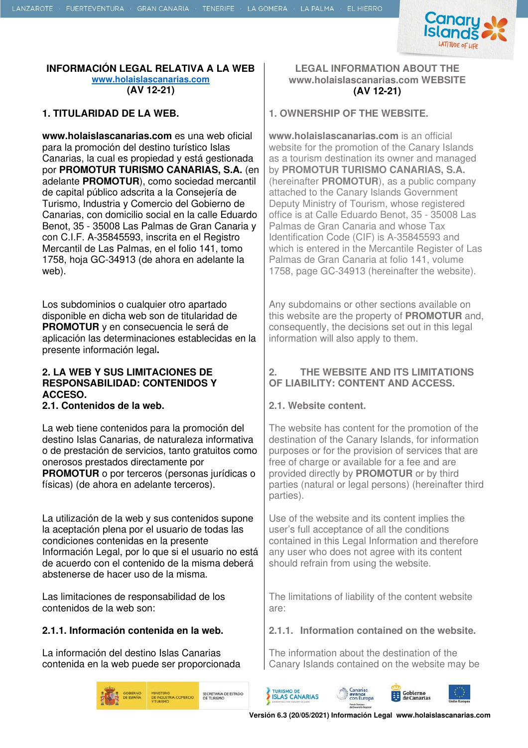

#### **INFORMACIÓN LEGAL RELATIVA A LA WEB www.holaislascanarias.com (AV 12-21)**

**www.holaislascanarias.com** es una web oficial para la promoción del destino turístico Islas Canarias, la cual es propiedad y está gestionada por **PROMOTUR TURISMO CANARIAS, S.A.** (en adelante **PROMOTUR**), como sociedad mercantil de capital público adscrita a la Consejería de Turismo, Industria y Comercio del Gobierno de Canarias, con domicilio social en la calle Eduardo Benot, 35 - 35008 Las Palmas de Gran Canaria y con C.I.F. A-35845593, inscrita en el Registro Mercantil de Las Palmas, en el folio 141, tomo 1758, hoja GC-34913 (de ahora en adelante la web).

Los subdominios o cualquier otro apartado disponible en dicha web son de titularidad de **PROMOTUR** y en consecuencia le será de aplicación las determinaciones establecidas en la presente información legal**.** 

#### **2. LA WEB Y SUS LIMITACIONES DE RESPONSABILIDAD: CONTENIDOS Y ACCESO.**

**2.1. Contenidos de la web. 2.1. Website content.** 

La web tiene contenidos para la promoción del destino Islas Canarias, de naturaleza informativa o de prestación de servicios, tanto gratuitos como onerosos prestados directamente por **PROMOTUR** o por terceros (personas jurídicas o físicas) (de ahora en adelante terceros).

La utilización de la web y sus contenidos supone la aceptación plena por el usuario de todas las condiciones contenidas en la presente Información Legal, por lo que si el usuario no está de acuerdo con el contenido de la misma deberá abstenerse de hacer uso de la misma.

Las limitaciones de responsabilidad de los contenidos de la web son:

La información del destino Islas Canarias contenida en la web puede ser proporcionada





#### **1. TITULARIDAD DE LA WEB. 1. OWNERSHIP OF THE WEBSITE.**

**www.holaislascanarias.com** is an official website for the promotion of the Canary Islands as a tourism destination its owner and managed by **PROMOTUR TURISMO CANARIAS, S.A.** (hereinafter **PROMOTUR**), as a public company attached to the Canary Islands Government Deputy Ministry of Tourism, whose registered office is at Calle Eduardo Benot, 35 - 35008 Las Palmas de Gran Canaria and whose Tax Identification Code (CIF) is A-35845593 and which is entered in the Mercantile Register of Las Palmas de Gran Canaria at folio 141, volume 1758, page GC-34913 (hereinafter the website).

Any subdomains or other sections available on this website are the property of **PROMOTUR** and, consequently, the decisions set out in this legal information will also apply to them.

## **2. THE WEBSITE AND ITS LIMITATIONS OF LIABILITY: CONTENT AND ACCESS.**

The website has content for the promotion of the destination of the Canary Islands, for information purposes or for the provision of services that are free of charge or available for a fee and are provided directly by **PROMOTUR** or by third parties (natural or legal persons) (hereinafter third parties).

Use of the website and its content implies the user's full acceptance of all the conditions contained in this Legal Information and therefore any user who does not agree with its content should refrain from using the website.

The limitations of liability of the content website are:

#### **2.1.1. Información contenida en la web. 2.1.1. Information contained on the website.**

The information about the destination of the Canary Islands contained on the website may be

Gobierno<br>de Canarias



Canarias<br>avanza<br>con Europa

**TURISMO DE**<br>**ISLAS CANARIAS**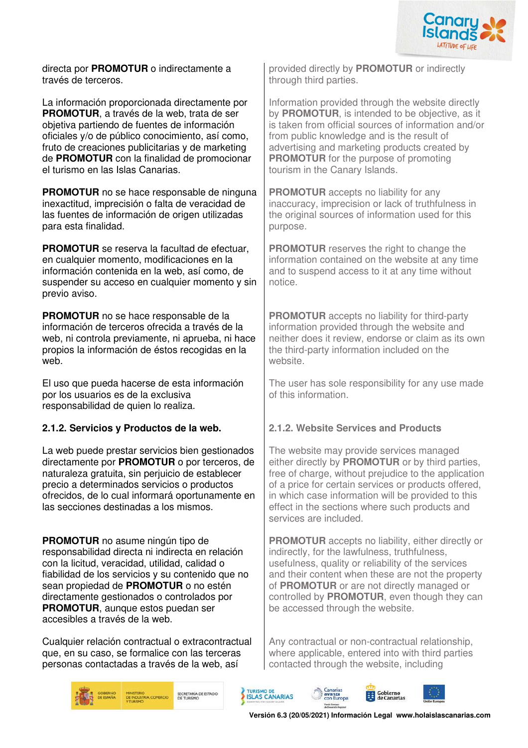

directa por **PROMOTUR** o indirectamente a través de terceros.

La información proporcionada directamente por **PROMOTUR**, a través de la web, trata de ser objetiva partiendo de fuentes de información oficiales y/o de público conocimiento, así como, fruto de creaciones publicitarias y de marketing de **PROMOTUR** con la finalidad de promocionar el turismo en las Islas Canarias.

**PROMOTUR** no se hace responsable de ninguna inexactitud, imprecisión o falta de veracidad de las fuentes de información de origen utilizadas para esta finalidad.

**PROMOTUR** se reserva la facultad de efectuar, en cualquier momento, modificaciones en la información contenida en la web, así como, de suspender su acceso en cualquier momento y sin previo aviso.

**PROMOTUR** no se hace responsable de la información de terceros ofrecida a través de la web, ni controla previamente, ni aprueba, ni hace propios la información de éstos recogidas en la web.

El uso que pueda hacerse de esta información por los usuarios es de la exclusiva responsabilidad de quien lo realiza.

## **2.1.2. Servicios y Productos de la web. 2.1.2. Website Services and Products**

La web puede prestar servicios bien gestionados directamente por **PROMOTUR** o por terceros, de naturaleza gratuita, sin perjuicio de establecer precio a determinados servicios o productos ofrecidos, de lo cual informará oportunamente en las secciones destinadas a los mismos.

**PROMOTUR** no asume ningún tipo de responsabilidad directa ni indirecta en relación con la licitud, veracidad, utilidad, calidad o fiabilidad de los servicios y su contenido que no sean propiedad de **PROMOTUR** o no estén directamente gestionados o controlados por **PROMOTUR.** aunque estos puedan ser accesibles a través de la web.

Cualquier relación contractual o extracontractual que, en su caso, se formalice con las terceras personas contactadas a través de la web, así

provided directly by **PROMOTUR** or indirectly through third parties.

Information provided through the website directly by **PROMOTUR**, is intended to be objective, as it is taken from official sources of information and/or from public knowledge and is the result of advertising and marketing products created by **PROMOTUR** for the purpose of promoting tourism in the Canary Islands.

**PROMOTUR** accepts no liability for any inaccuracy, imprecision or lack of truthfulness in the original sources of information used for this purpose.

**PROMOTUR** reserves the right to change the information contained on the website at any time and to suspend access to it at any time without notice.

**PROMOTUR** accepts no liability for third-party information provided through the website and neither does it review, endorse or claim as its own the third-party information included on the website.

The user has sole responsibility for any use made of this information.

The website may provide services managed either directly by **PROMOTUR** or by third parties, free of charge, without prejudice to the application of a price for certain services or products offered, in which case information will be provided to this effect in the sections where such products and services are included.

**PROMOTUR** accepts no liability, either directly or indirectly, for the lawfulness, truthfulness, usefulness, quality or reliability of the services and their content when these are not the property of **PROMOTUR** or are not directly managed or controlled by **PROMOTUR**, even though they can be accessed through the website.

Any contractual or non-contractual relationship, where applicable, entered into with third parties contacted through the website, including



SECRETARÍA DE ESTADO<br>DE TURISMO



& Canarias<br>| avanza<br>| con Europa Fonda Europea



**Versión 6.3 (20/05/2021) Información Legal www.holaislascanarias.com**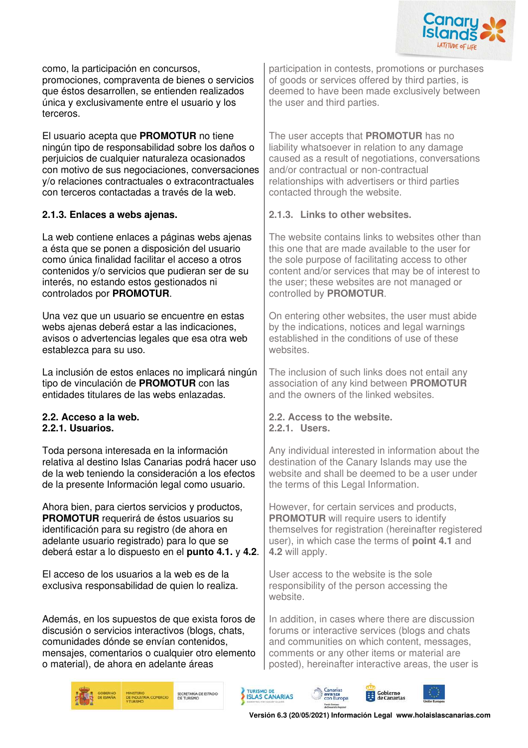

como, la participación en concursos, promociones, compraventa de bienes o servicios que éstos desarrollen, se entienden realizados única y exclusivamente entre el usuario y los terceros.

El usuario acepta que **PROMOTUR** no tiene ningún tipo de responsabilidad sobre los daños o perjuicios de cualquier naturaleza ocasionados con motivo de sus negociaciones, conversaciones y/o relaciones contractuales o extracontractuales con terceros contactadas a través de la web.

La web contiene enlaces a páginas webs ajenas a ésta que se ponen a disposición del usuario como única finalidad facilitar el acceso a otros contenidos y/o servicios que pudieran ser de su interés, no estando estos gestionados ni controlados por **PROMOTUR**.

Una vez que un usuario se encuentre en estas webs ajenas deberá estar a las indicaciones. avisos o advertencias legales que esa otra web establezca para su uso.

La inclusión de estos enlaces no implicará ningún tipo de vinculación de **PROMOTUR** con las entidades titulares de las webs enlazadas.

## **2.2.1. Usuarios. 2.2.1. Users.**

Toda persona interesada en la información relativa al destino Islas Canarias podrá hacer uso de la web teniendo la consideración a los efectos de la presente Información legal como usuario.

Ahora bien, para ciertos servicios y productos, **PROMOTUR** requerirá de éstos usuarios su identificación para su registro (de ahora en adelante usuario registrado) para lo que se deberá estar a lo dispuesto en el **punto 4.1.** y **4.2**.

El acceso de los usuarios a la web es de la exclusiva responsabilidad de quien lo realiza.

Además, en los supuestos de que exista foros de discusión o servicios interactivos (blogs, chats, comunidades dónde se envían contenidos, mensajes, comentarios o cualquier otro elemento o material), de ahora en adelante áreas

SECRETARÍA DE ESTADO<br>DE TURISMO

participation in contests, promotions or purchases of goods or services offered by third parties, is deemed to have been made exclusively between the user and third parties.

The user accepts that **PROMOTUR** has no liability whatsoever in relation to any damage caused as a result of negotiations, conversations and/or contractual or non-contractual relationships with advertisers or third parties contacted through the website.

#### **2.1.3. Enlaces a webs ajenas. 2.1.3. Links to other websites.**

The website contains links to websites other than this one that are made available to the user for the sole purpose of facilitating access to other content and/or services that may be of interest to the user; these websites are not managed or controlled by **PROMOTUR**.

On entering other websites, the user must abide by the indications, notices and legal warnings established in the conditions of use of these websites.

The inclusion of such links does not entail any association of any kind between **PROMOTUR** and the owners of the linked websites.

# **2.2. Acceso a la web. 2.2. Access to the website.**

Any individual interested in information about the destination of the Canary Islands may use the website and shall be deemed to be a user under the terms of this Legal Information.

However, for certain services and products, **PROMOTUR** will require users to identify themselves for registration (hereinafter registered user), in which case the terms of **point 4.1** and **4.2** will apply.

User access to the website is the sole responsibility of the person accessing the website.

In addition, in cases where there are discussion forums or interactive services (blogs and chats and communities on which content, messages, comments or any other items or material are posted), hereinafter interactive areas, the user is

Gobierno



**Versión 6.3 (20/05/2021) Información Legal www.holaislascanarias.com**

& Canarias<br>| avanza<br>| con Europa

TURISMO DE<br>**ISLAS CANARIAS**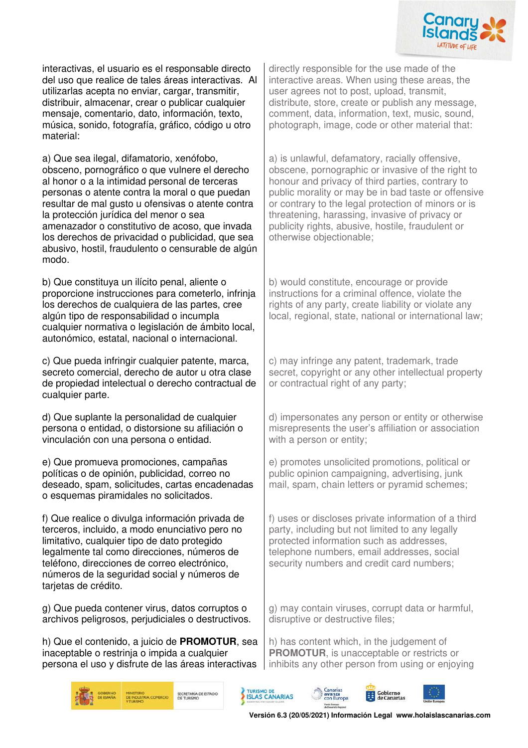

interactivas, el usuario es el responsable directo del uso que realice de tales áreas interactivas. Al utilizarlas acepta no enviar, cargar, transmitir, distribuir, almacenar, crear o publicar cualquier mensaje, comentario, dato, información, texto, música, sonido, fotografía, gráfico, código u otro material:

a) Que sea ilegal, difamatorio, xenófobo, obsceno, pornográfico o que vulnere el derecho al honor o a la intimidad personal de terceras personas o atente contra la moral o que puedan resultar de mal gusto u ofensivas o atente contra la protección jurídica del menor o sea amenazador o constitutivo de acoso, que invada los derechos de privacidad o publicidad, que sea abusivo, hostil, fraudulento o censurable de algún modo.

b) Que constituya un ilícito penal, aliente o proporcione instrucciones para cometerlo, infrinja los derechos de cualquiera de las partes, cree algún tipo de responsabilidad o incumpla cualquier normativa o legislación de ámbito local. autonómico, estatal, nacional o internacional.

c) Que pueda infringir cualquier patente, marca, secreto comercial, derecho de autor u otra clase de propiedad intelectual o derecho contractual de cualquier parte.

d) Que suplante la personalidad de cualquier persona o entidad, o distorsione su afiliación o vinculación con una persona o entidad.

e) Que promueva promociones, campañas políticas o de opinión, publicidad, correo no deseado, spam, solicitudes, cartas encadenadas o esquemas piramidales no solicitados.

f) Que realice o divulga información privada de terceros, incluido, a modo enunciativo pero no limitativo, cualquier tipo de dato protegido legalmente tal como direcciones, números de teléfono, direcciones de correo electrónico, números de la seguridad social y números de tarietas de crédito.

g) Que pueda contener virus, datos corruptos o archivos peligrosos, perjudiciales o destructivos.

h) Que el contenido, a juicio de **PROMOTUR**, sea inaceptable o restrinja o impida a cualquier persona el uso y disfrute de las áreas interactivas directly responsible for the use made of the interactive areas. When using these areas, the user agrees not to post, upload, transmit, distribute, store, create or publish any message, comment, data, information, text, music, sound, photograph, image, code or other material that:

a) is unlawful, defamatory, racially offensive, obscene, pornographic or invasive of the right to honour and privacy of third parties, contrary to public morality or may be in bad taste or offensive or contrary to the legal protection of minors or is threatening, harassing, invasive of privacy or publicity rights, abusive, hostile, fraudulent or otherwise objectionable;

b) would constitute, encourage or provide instructions for a criminal offence, violate the rights of any party, create liability or violate any local, regional, state, national or international law;

c) may infringe any patent, trademark, trade secret, copyright or any other intellectual property or contractual right of any party;

d) impersonates any person or entity or otherwise misrepresents the user's affiliation or association with a person or entity;

e) promotes unsolicited promotions, political or public opinion campaigning, advertising, junk mail, spam, chain letters or pyramid schemes;

f) uses or discloses private information of a third party, including but not limited to any legally protected information such as addresses, telephone numbers, email addresses, social security numbers and credit card numbers;

g) may contain viruses, corrupt data or harmful, disruptive or destructive files;

h) has content which, in the judgement of **PROMOTUR**, is unacceptable or restricts or inhibits any other person from using or enjoying



TURISMO DE<br>**ISLAS CANARIAS** 

SECRETARÍA DE ESTADO





**Versión 6.3 (20/05/2021) Información Legal www.holaislascanarias.com**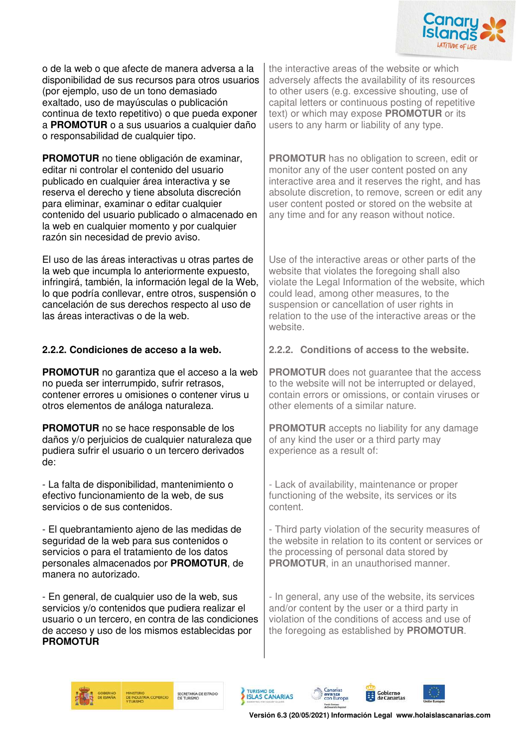

o de la web o que afecte de manera adversa a la disponibilidad de sus recursos para otros usuarios (por ejemplo, uso de un tono demasiado exaltado, uso de mayúsculas o publicación continua de texto repetitivo) o que pueda exponer a **PROMOTUR** o a sus usuarios a cualquier daño o responsabilidad de cualquier tipo.

**PROMOTUR** no tiene obligación de examinar, editar ni controlar el contenido del usuario publicado en cualquier área interactiva y se reserva el derecho y tiene absoluta discreción para eliminar, examinar o editar cualquier contenido del usuario publicado o almacenado en la web en cualquier momento y por cualquier razón sin necesidad de previo aviso.

El uso de las áreas interactivas u otras partes de la web que incumpla lo anteriormente expuesto, infringirá, también, la información legal de la Web, lo que podría conllevar, entre otros, suspensión o cancelación de sus derechos respecto al uso de las áreas interactivas o de la web.

**PROMOTUR** no garantiza que el acceso a la web no pueda ser interrumpido, sufrir retrasos, contener errores u omisiones o contener virus u otros elementos de análoga naturaleza.

**PROMOTUR** no se hace responsable de los daños y/o perjuicios de cualquier naturaleza que pudiera sufrir el usuario o un tercero derivados de:

- La falta de disponibilidad, mantenimiento o efectivo funcionamiento de la web, de sus servicios o de sus contenidos.

- El quebrantamiento ajeno de las medidas de seguridad de la web para sus contenidos o servicios o para el tratamiento de los datos personales almacenados por **PROMOTUR**, de manera no autorizado.

- En general, de cualquier uso de la web, sus servicios y/o contenidos que pudiera realizar el usuario o un tercero, en contra de las condiciones de acceso y uso de los mismos establecidas por **PROMOTUR**

the interactive areas of the website or which adversely affects the availability of its resources to other users (e.g. excessive shouting, use of capital letters or continuous posting of repetitive text) or which may expose **PROMOTUR** or its users to any harm or liability of any type.

**PROMOTUR** has no obligation to screen, edit or monitor any of the user content posted on any interactive area and it reserves the right, and has absolute discretion, to remove, screen or edit any user content posted or stored on the website at any time and for any reason without notice.

Use of the interactive areas or other parts of the website that violates the foregoing shall also violate the Legal Information of the website, which could lead, among other measures, to the suspension or cancellation of user rights in relation to the use of the interactive areas or the website.

## **2.2.2. Condiciones de acceso a la web. 2.2.2. Conditions of access to the website.**

**PROMOTUR** does not guarantee that the access to the website will not be interrupted or delayed, contain errors or omissions, or contain viruses or other elements of a similar nature.

**PROMOTUR** accepts no liability for any damage of any kind the user or a third party may experience as a result of:

- Lack of availability, maintenance or proper functioning of the website, its services or its content.

- Third party violation of the security measures of the website in relation to its content or services or the processing of personal data stored by **PROMOTUR**, in an unauthorised manner.

- In general, any use of the website, its services and/or content by the user or a third party in violation of the conditions of access and use of the foregoing as established by **PROMOTUR**.







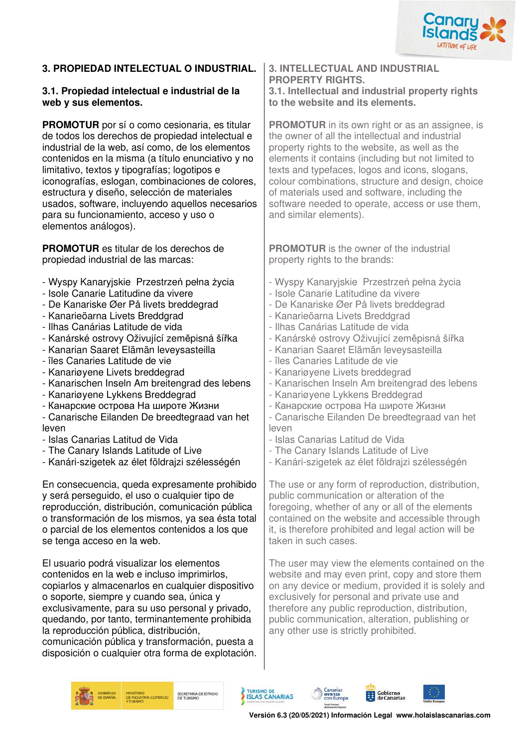

## **3. PROPIEDAD INTELECTUAL O INDUSTRIAL. 3. INTELLECTUAL AND INDUSTRIAL**

#### **3.1. Propiedad intelectual e industrial de la web y sus elementos.**

**PROMOTUR** por sí o como cesionaria, es titular de todos los derechos de propiedad intelectual e industrial de la web, así como, de los elementos contenidos en la misma (a título enunciativo y no limitativo, textos y tipografías; logotipos e iconografías, eslogan, combinaciones de colores, estructura y diseño, selección de materiales usados, software, incluyendo aquellos necesarios para su funcionamiento, acceso y uso o elementos análogos).

**PROMOTUR** es titular de los derechos de propiedad industrial de las marcas:

- Wyspy Kanaryjskie Przestrzeń pełna życia
- Isole Canarie Latitudine da vivere
- De Kanariske Øer På livets breddegrad
- Kanarieöarna Livets Breddgrad
- Ilhas Canárias Latitude de vida
- Kanárské ostrovy Oživující zeměpisná šířka
- Kanarian Saaret Elämän leveysasteilla
- îles Canaries Latitude de vie
- Kanariøyene Livets breddegrad
- Kanarischen Inseln Am breitengrad des lebens
- Kanariøyene Lykkens Breddegrad
- Канарские острова На широте Жизни
- Canarische Eilanden De breedtegraad van het leven
- Islas Canarias Latitud de Vida
- The Canary Islands Latitude of Live
- Kanári-szigetek az élet földrajzi szélességén

En consecuencia, queda expresamente prohibido y será perseguido, el uso o cualquier tipo de reproducción, distribución, comunicación pública o transformación de los mismos, ya sea ésta total o parcial de los elementos contenidos a los que se tenga acceso en la web.

El usuario podrá visualizar los elementos contenidos en la web e incluso imprimirlos, copiarlos y almacenarlos en cualquier dispositivo o soporte, siempre y cuando sea, única y exclusivamente, para su uso personal y privado, quedando, por tanto, terminantemente prohibida la reproducción pública, distribución,

comunicación pública y transformación, puesta a disposición o cualquier otra forma de explotación.

## **PROPERTY RIGHTS. 3.1. Intellectual and industrial property rights**

**to the website and its elements.** 

**PROMOTUR** in its own right or as an assignee, is the owner of all the intellectual and industrial property rights to the website, as well as the elements it contains (including but not limited to texts and typefaces, logos and icons, slogans, colour combinations, structure and design, choice of materials used and software, including the software needed to operate, access or use them, and similar elements).

**PROMOTUR** is the owner of the industrial property rights to the brands:

- Wyspy Kanaryjskie Przestrzeń pełna życia - Isole Canarie Latitudine da vivere - De Kanariske Øer På livets breddegrad - Kanarieöarna Livets Breddgrad - Ilhas Canárias Latitude de vida - Kanárské ostrovy Oživující zeměpisná šířka - Kanarian Saaret Elämän leveysasteilla - îles Canaries Latitude de vie - Kanariøyene Livets breddegrad - Kanarischen Inseln Am breitengrad des lebens - Kanariøyene Lykkens Breddegrad - Канарские острова На широте Жизни - Canarische Eilanden De breedtegraad van het leven - Islas Canarias Latitud de Vida - The Canary Islands Latitude of Live - Kanári-szigetek az élet földrajzi szélességén

The use or any form of reproduction, distribution, public communication or alteration of the foregoing, whether of any or all of the elements contained on the website and accessible through it, is therefore prohibited and legal action will be taken in such cases.

The user may view the elements contained on the website and may even print, copy and store them on any device or medium, provided it is solely and exclusively for personal and private use and therefore any public reproduction, distribution, public communication, alteration, publishing or any other use is strictly prohibited.



SECRETARÍA DE ESTADO



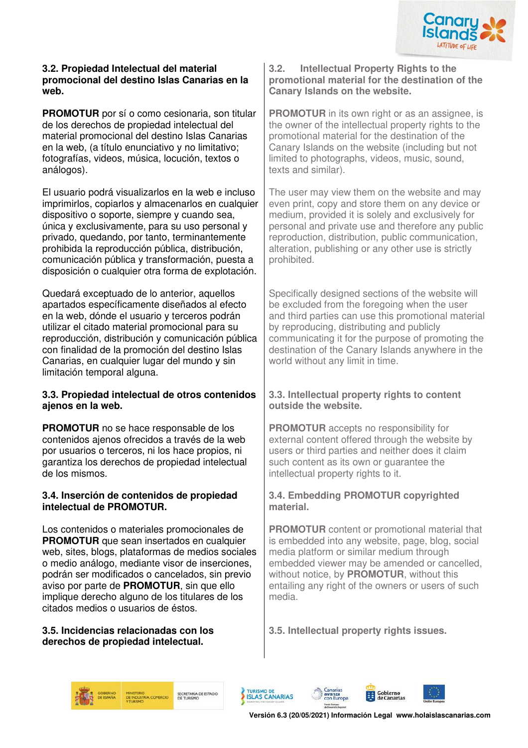

#### **3.2. Propiedad Intelectual del material promocional del destino Islas Canarias en la web.**

**PROMOTUR** por sí o como cesionaria, son titular de los derechos de propiedad intelectual del material promocional del destino Islas Canarias en la web, (a título enunciativo y no limitativo; fotografías, videos, música, locución, textos o análogos).

El usuario podrá visualizarlos en la web e incluso imprimirlos, copiarlos y almacenarlos en cualquier dispositivo o soporte, siempre y cuando sea, única y exclusivamente, para su uso personal y privado, quedando, por tanto, terminantemente prohibida la reproducción pública, distribución, comunicación pública y transformación, puesta a disposición o cualquier otra forma de explotación.

Quedará exceptuado de lo anterior, aquellos apartados específicamente diseñados al efecto en la web, dónde el usuario y terceros podrán utilizar el citado material promocional para su reproducción, distribución y comunicación pública con finalidad de la promoción del destino Islas Canarias, en cualquier lugar del mundo y sin limitación temporal alguna.

#### **3.3. Propiedad intelectual de otros contenidos ajenos en la web.**

**PROMOTUR** no se hace responsable de los contenidos ajenos ofrecidos a través de la web por usuarios o terceros, ni los hace propios, ni garantiza los derechos de propiedad intelectual de los mismos.

#### **3.4. Inserción de contenidos de propiedad intelectual de PROMOTUR.**

Los contenidos o materiales promocionales de **PROMOTUR** que sean insertados en cualquier web, sites, blogs, plataformas de medios sociales o medio análogo, mediante visor de inserciones, podrán ser modificados o cancelados, sin previo aviso por parte de **PROMOTUR**, sin que ello implique derecho alguno de los titulares de los citados medios o usuarios de éstos.

#### **3.5. Incidencias relacionadas con los derechos de propiedad intelectual.**

#### **3.2. Intellectual Property Rights to the promotional material for the destination of the Canary Islands on the website.**

**PROMOTUR** in its own right or as an assignee, is the owner of the intellectual property rights to the promotional material for the destination of the Canary Islands on the website (including but not limited to photographs, videos, music, sound, texts and similar).

The user may view them on the website and may even print, copy and store them on any device or medium, provided it is solely and exclusively for personal and private use and therefore any public reproduction, distribution, public communication, alteration, publishing or any other use is strictly prohibited.

Specifically designed sections of the website will be excluded from the foregoing when the user and third parties can use this promotional material by reproducing, distributing and publicly communicating it for the purpose of promoting the destination of the Canary Islands anywhere in the world without any limit in time.

#### **3.3. Intellectual property rights to content outside the website.**

**PROMOTUR** accepts no responsibility for external content offered through the website by users or third parties and neither does it claim such content as its own or guarantee the intellectual property rights to it.

## **3.4. Embedding PROMOTUR copyrighted material.**

**PROMOTUR** content or promotional material that is embedded into any website, page, blog, social media platform or similar medium through embedded viewer may be amended or cancelled, without notice, by **PROMOTUR**, without this entailing any right of the owners or users of such media.

**3.5. Intellectual property rights issues.** 

Canarias<br>avanza<br>con Europa





Gobierno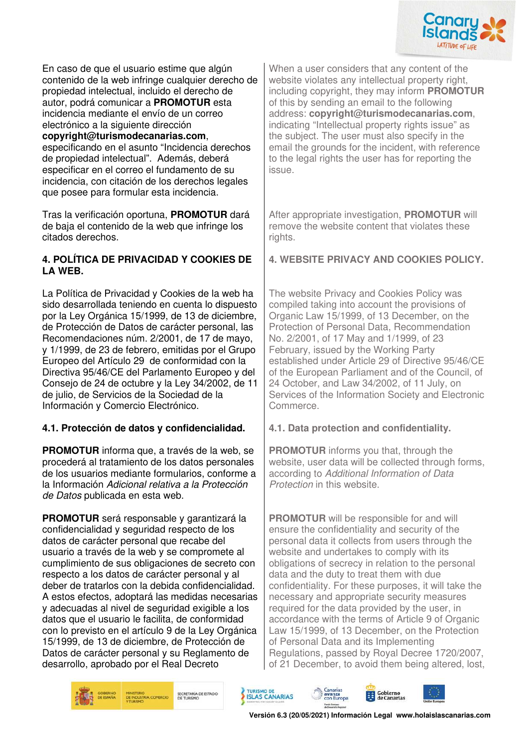

En caso de que el usuario estime que algún contenido de la web infringe cualquier derecho de propiedad intelectual, incluido el derecho de autor, podrá comunicar a **PROMOTUR** esta incidencia mediante el envío de un correo electrónico a la siguiente dirección

#### **copyright@turismodecanarias.com**, especificando en el asunto "Incidencia derechos de propiedad intelectual". Además, deberá especificar en el correo el fundamento de su incidencia, con citación de los derechos legales

que posee para formular esta incidencia.

Tras la verificación oportuna, **PROMOTUR** dará de baja el contenido de la web que infringe los citados derechos.

#### **4. POLÍTICA DE PRIVACIDAD Y COOKIES DE LA WEB.**

La Política de Privacidad y Cookies de la web ha sido desarrollada teniendo en cuenta lo dispuesto por la Ley Orgánica 15/1999, de 13 de diciembre, de Protección de Datos de carácter personal, las Recomendaciones núm. 2/2001, de 17 de mayo, y 1/1999, de 23 de febrero, emitidas por el Grupo Europeo del Artículo 29 de conformidad con la Directiva 95/46/CE del Parlamento Europeo y del Consejo de 24 de octubre y la Ley 34/2002, de 11 de julio, de Servicios de la Sociedad de la Información y Comercio Electrónico.

## **4.1. Protección de datos y confidencialidad. 4.1. Data protection and confidentiality.**

**PROMOTUR** informa que, a través de la web, se procederá al tratamiento de los datos personales de los usuarios mediante formularios, conforme a la Información Adicional relativa a la Protección de Datos publicada en esta web.

**PROMOTUR** será responsable y garantizará la confidencialidad y seguridad respecto de los datos de carácter personal que recabe del usuario a través de la web y se compromete al cumplimiento de sus obligaciones de secreto con respecto a los datos de carácter personal y al deber de tratarlos con la debida confidencialidad. A estos efectos, adoptará las medidas necesarias y adecuadas al nivel de seguridad exigible a los datos que el usuario le facilita, de conformidad con lo previsto en el artículo 9 de la Ley Orgánica 15/1999, de 13 de diciembre, de Protección de Datos de carácter personal y su Reglamento de desarrollo, aprobado por el Real Decreto

When a user considers that any content of the website violates any intellectual property right, including copyright, they may inform **PROMOTUR** of this by sending an email to the following address: **copyright@turismodecanarias.com**, indicating "Intellectual property rights issue" as the subject. The user must also specify in the email the grounds for the incident, with reference to the legal rights the user has for reporting the issue.

After appropriate investigation, **PROMOTUR** will remove the website content that violates these rights.

## **4. WEBSITE PRIVACY AND COOKIES POLICY.**

The website Privacy and Cookies Policy was compiled taking into account the provisions of Organic Law 15/1999, of 13 December, on the Protection of Personal Data, Recommendation No. 2/2001, of 17 May and 1/1999, of 23 February, issued by the Working Party established under Article 29 of Directive 95/46/CE of the European Parliament and of the Council, of 24 October, and Law 34/2002, of 11 July, on Services of the Information Society and Electronic **Commerce** 

**PROMOTUR** informs you that, through the website, user data will be collected through forms, according to Additional Information of Data Protection in this website.

**PROMOTUR** will be responsible for and will ensure the confidentiality and security of the personal data it collects from users through the website and undertakes to comply with its obligations of secrecy in relation to the personal data and the duty to treat them with due confidentiality. For these purposes, it will take the necessary and appropriate security measures required for the data provided by the user, in accordance with the terms of Article 9 of Organic Law 15/1999, of 13 December, on the Protection of Personal Data and its Implementing Regulations, passed by Royal Decree 1720/2007, of 21 December, to avoid them being altered, lost,



SECRETARÍA DE ESTADO<br>DE TURISMO





Gobierno<br>de Canarias

& Canarias<br>| avanza<br>| con Europa

Fonda Europeo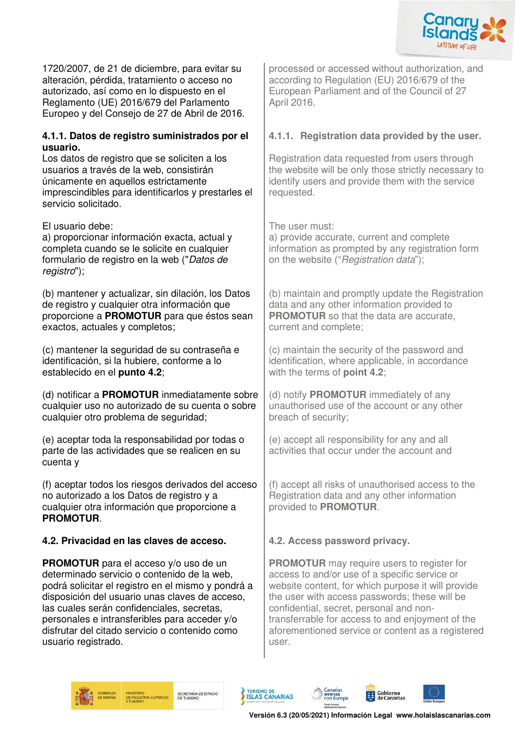

1720/2007, de 21 de diciembre, para evitar su alteración, pérdida, tratamiento o acceso no autorizado, así como en lo dispuesto en el Reglamento (UE) 2016/679 del Parlamento Europeo y del Consejo de 27 de Abril de 2016.

#### **4.1.1. Datos de registro suministrados por el usuario.**

Los datos de registro que se soliciten a los usuarios a través de la web, consistirán únicamente en aquellos estrictamente imprescindibles para identificarlos y prestarles el servicio solicitado.

El usuario debe: The user must:

a) proporcionar información exacta, actual y completa cuando se le solicite en cualquier formulario de registro en la web ("Datos de registro");

(b) mantener y actualizar, sin dilación, los Datos de registro y cualquier otra información que proporcione a **PROMOTUR** para que éstos sean exactos, actuales y completos;

(c) mantener la seguridad de su contraseña e identificación, si la hubiere, conforme a lo establecido en el **punto 4.2**;

(d) notificar a **PROMOTUR** inmediatamente sobre cualquier uso no autorizado de su cuenta o sobre cualquier otro problema de seguridad;

(e) aceptar toda la responsabilidad por todas o parte de las actividades que se realicen en su cuenta y

(f) aceptar todos los riesgos derivados del acceso no autorizado a los Datos de registro y a cualquier otra información que proporcione a **PROMOTUR**.

## **4.2. Privacidad en las claves de acceso. 4.2. Access password privacy.**

**PROMOTUR** para el acceso y/o uso de un determinado servicio o contenido de la web, podrá solicitar el registro en el mismo y pondrá a disposición del usuario unas claves de acceso, las cuales serán confidenciales, secretas, personales e intransferibles para acceder y/o disfrutar del citado servicio o contenido como usuario registrado.

processed or accessed without authorization, and according to Regulation (EU) 2016/679 of the European Parliament and of the Council of 27 April 2016.

## **4.1.1. Registration data provided by the user.**

Registration data requested from users through the website will be only those strictly necessary to identify users and provide them with the service requested.

a) provide accurate, current and complete information as prompted by any registration form on the website ("Registration data");

(b) maintain and promptly update the Registration data and any other information provided to **PROMOTUR** so that the data are accurate, current and complete;

(c) maintain the security of the password and identification, where applicable, in accordance with the terms of **point 4.2**;

(d) notify **PROMOTUR** immediately of any unauthorised use of the account or any other breach of security;

(e) accept all responsibility for any and all activities that occur under the account and

(f) accept all risks of unauthorised access to the Registration data and any other information provided to **PROMOTUR**.

**PROMOTUR** may require users to register for access to and/or use of a specific service or website content, for which purpose it will provide the user with access passwords; these will be confidential, secret, personal and nontransferrable for access to and enjoyment of the aforementioned service or content as a registered user.







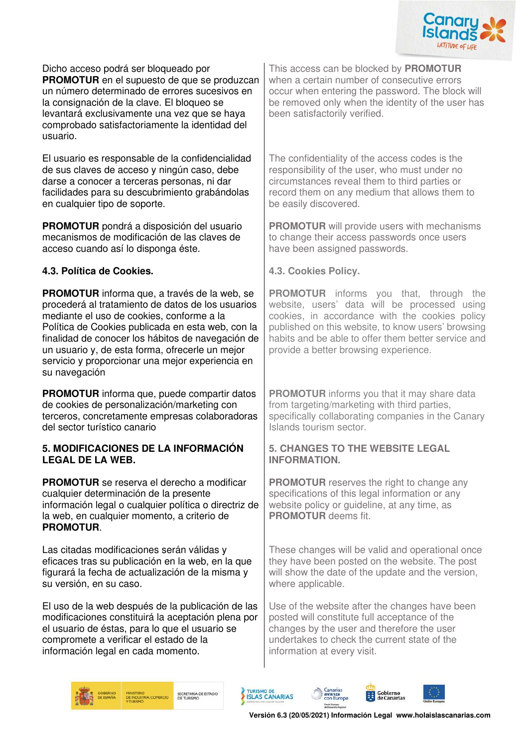

Dicho acceso podrá ser bloqueado por **PROMOTUR** en el supuesto de que se produzcan un número determinado de errores sucesivos en la consignación de la clave. El bloqueo se levantará exclusivamente una vez que se haya comprobado satisfactoriamente la identidad del usuario.

El usuario es responsable de la confidencialidad de sus claves de acceso y ningún caso, debe darse a conocer a terceras personas, ni dar facilidades para su descubrimiento grabándolas en cualquier tipo de soporte.

**PROMOTUR** pondrá a disposición del usuario mecanismos de modificación de las claves de acceso cuando así lo disponga éste.

## **4.3. Política de Cookies. 4.3. Cookies Policy.**

**PROMOTUR** informa que, a través de la web, se procederá al tratamiento de datos de los usuarios mediante el uso de cookies, conforme a la Política de Cookies publicada en esta web, con la finalidad de conocer los hábitos de navegación de un usuario y, de esta forma, ofrecerle un mejor servicio y proporcionar una mejor experiencia en su navegación

**PROMOTUR** informa que, puede compartir datos de cookies de personalización/marketing con terceros, concretamente empresas colaboradoras del sector turístico canario

#### **5. MODIFICACIONES DE LA INFORMACIÓN LEGAL DE LA WEB.**

**PROMOTUR** se reserva el derecho a modificar cualquier determinación de la presente información legal o cualquier política o directriz de la web, en cualquier momento, a criterio de **PROMOTUR**.

Las citadas modificaciones serán válidas y eficaces tras su publicación en la web, en la que figurará la fecha de actualización de la misma y su versión, en su caso.

El uso de la web después de la publicación de las modificaciones constituirá la aceptación plena por el usuario de éstas, para lo que el usuario se compromete a verificar el estado de la información legal en cada momento.

This access can be blocked by **PROMOTUR** when a certain number of consecutive errors occur when entering the password. The block will be removed only when the identity of the user has been satisfactorily verified.

The confidentiality of the access codes is the responsibility of the user, who must under no circumstances reveal them to third parties or record them on any medium that allows them to be easily discovered.

**PROMOTUR** will provide users with mechanisms to change their access passwords once users have been assigned passwords.

**PROMOTUR** informs you that, through the website, users' data will be processed using cookies, in accordance with the cookies policy published on this website, to know users' browsing habits and be able to offer them better service and provide a better browsing experience.

**PROMOTUR** informs you that it may share data from targeting/marketing with third parties, specifically collaborating companies in the Canary Islands tourism sector.

#### **5. CHANGES TO THE WEBSITE LEGAL INFORMATION.**

**PROMOTUR** reserves the right to change any specifications of this legal information or any website policy or quideline, at any time, as **PROMOTUR** deems fit.

These changes will be valid and operational once they have been posted on the website. The post will show the date of the update and the version, where applicable.

Use of the website after the changes have been posted will constitute full acceptance of the changes by the user and therefore the user undertakes to check the current state of the information at every visit.



SECRETARÍA DE ESTADO



Canarias<br>avanza<br>con Europa